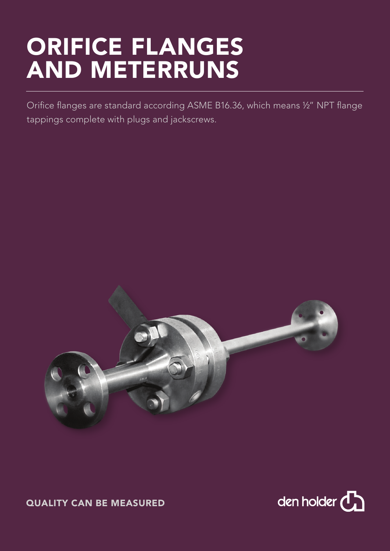## ORIFICE FLANGES AND METERRUNS

Orifice flanges are standard according ASME B16.36, which means ½" NPT flange tappings complete with plugs and jackscrews.





QUALITY CAN BE MEASURED